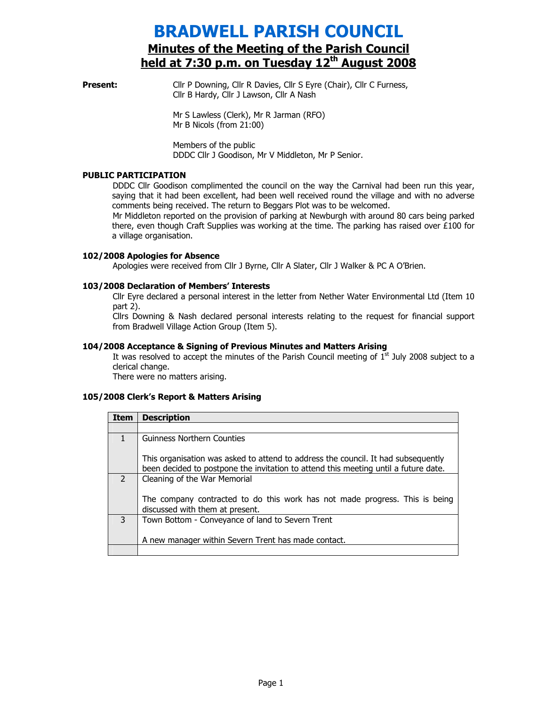# BRADWELL PARISH COUNCIL Minutes of the Meeting of the Parish Council held at 7:30 p.m. on Tuesday 12<sup>th</sup> August 2008

**Present:** Cllr P Downing, Cllr R Davies, Cllr S Eyre (Chair), Cllr C Furness, Cllr B Hardy, Cllr J Lawson, Cllr A Nash

> Mr S Lawless (Clerk), Mr R Jarman (RFO) Mr B Nicols (from 21:00)

Members of the public DDDC Cllr J Goodison, Mr V Middleton, Mr P Senior.

#### PUBLIC PARTICIPATION

DDDC Cllr Goodison complimented the council on the way the Carnival had been run this year, saying that it had been excellent, had been well received round the village and with no adverse comments being received. The return to Beggars Plot was to be welcomed.

Mr Middleton reported on the provision of parking at Newburgh with around 80 cars being parked there, even though Craft Supplies was working at the time. The parking has raised over £100 for a village organisation.

## 102/2008 Apologies for Absence

Apologies were received from Cllr J Byrne, Cllr A Slater, Cllr J Walker & PC A O'Brien.

#### 103/2008 Declaration of Members' Interests

Cllr Eyre declared a personal interest in the letter from Nether Water Environmental Ltd (Item 10 part 2).

Cllrs Downing & Nash declared personal interests relating to the request for financial support from Bradwell Village Action Group (Item 5).

#### 104/2008 Acceptance & Signing of Previous Minutes and Matters Arising

It was resolved to accept the minutes of the Parish Council meeting of  $1<sup>st</sup>$  July 2008 subject to a clerical change.

There were no matters arising.

## 105/2008 Clerk's Report & Matters Arising

| Item          | <b>Description</b>                                                                                                                                                       |
|---------------|--------------------------------------------------------------------------------------------------------------------------------------------------------------------------|
|               |                                                                                                                                                                          |
| 1             | <b>Guinness Northern Counties</b>                                                                                                                                        |
|               | This organisation was asked to attend to address the council. It had subsequently<br>been decided to postpone the invitation to attend this meeting until a future date. |
| $\mathcal{P}$ | Cleaning of the War Memorial                                                                                                                                             |
|               | The company contracted to do this work has not made progress. This is being<br>discussed with them at present.                                                           |
| 3             | Town Bottom - Conveyance of land to Severn Trent                                                                                                                         |
|               | A new manager within Severn Trent has made contact.                                                                                                                      |
|               |                                                                                                                                                                          |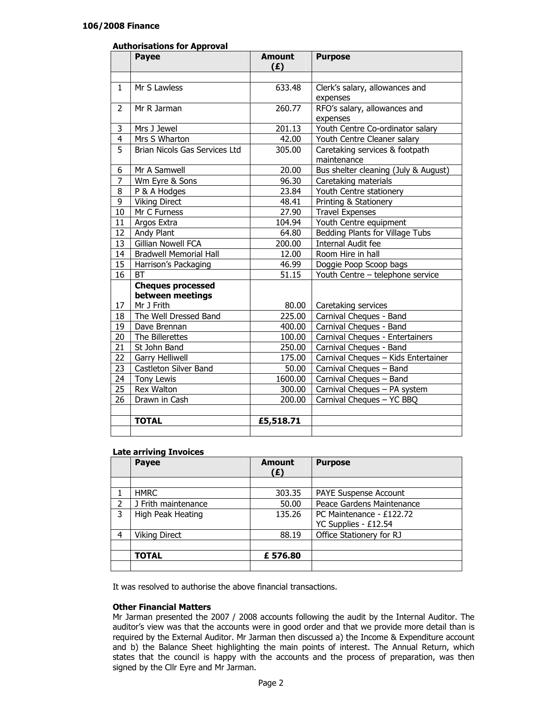## Authorisations for Approval

|                | <b>Payee</b>                  | <b>Amount</b><br>(E) | <b>Purpose</b>                       |
|----------------|-------------------------------|----------------------|--------------------------------------|
|                |                               |                      |                                      |
| 1              | Mr S Lawless                  | 633.48               | Clerk's salary, allowances and       |
|                |                               |                      | expenses                             |
| 2              | Mr R Jarman                   | 260.77               | RFO's salary, allowances and         |
|                |                               |                      | expenses                             |
| 3              | Mrs J Jewel                   | 201.13               | Youth Centre Co-ordinator salary     |
| $\overline{4}$ | Mrs S Wharton                 | 42.00                | Youth Centre Cleaner salary          |
| $\overline{5}$ | Brian Nicols Gas Services Ltd | 305.00               | Caretaking services & footpath       |
|                |                               |                      | maintenance                          |
| 6              | Mr A Samwell                  | 20.00                | Bus shelter cleaning (July & August) |
| 7              | Wm Eyre & Sons                | 96.30                | Caretaking materials                 |
| 8              | P & A Hodges                  | 23.84                | Youth Centre stationery              |
| 9              | <b>Viking Direct</b>          | 48.41                | Printing & Stationery                |
| 10             | Mr C Furness                  | 27.90                | <b>Travel Expenses</b>               |
| 11             | Argos Extra                   | 104.94               | Youth Centre equipment               |
| 12             | Andy Plant                    | 64.80                | Bedding Plants for Village Tubs      |
| 13             | Gillian Nowell FCA            | 200.00               | <b>Internal Audit fee</b>            |
| 14             | <b>Bradwell Memorial Hall</b> | 12.00                | Room Hire in hall                    |
| 15             | Harrison's Packaging          | 46.99                | Doggie Poop Scoop bags               |
| 16             | <b>BT</b>                     | 51.15                | Youth Centre - telephone service     |
|                | <b>Cheques processed</b>      |                      |                                      |
|                | between meetings              |                      |                                      |
| 17             | Mr J Frith                    | 80.00                | Caretaking services                  |
| 18             | The Well Dressed Band         | 225.00               | Carnival Cheques - Band              |
| 19             | Dave Brennan                  | 400.00               | Carnival Cheques - Band              |
| 20             | The Billerettes               | 100.00               | Carnival Cheques - Entertainers      |
| 21             | St John Band                  | 250.00               | Carnival Cheques - Band              |
| 22             | <b>Garry Helliwell</b>        | 175.00               | Carnival Cheques - Kids Entertainer  |
| 23             | Castleton Silver Band         | 50.00                | Carnival Cheques - Band              |
| 24             | <b>Tony Lewis</b>             | 1600.00              | Carnival Cheques - Band              |
| 25             | <b>Rex Walton</b>             | 300.00               | Carnival Cheques - PA system         |
| 26             | Drawn in Cash                 | 200.00               | Carnival Cheques - YC BBQ            |
|                |                               |                      |                                      |
|                | <b>TOTAL</b>                  | £5,518.71            |                                      |
|                |                               |                      |                                      |

## Late arriving Invoices

|   | <b>Payee</b>         | <b>Amount</b><br>(£) | <b>Purpose</b>               |
|---|----------------------|----------------------|------------------------------|
|   |                      |                      |                              |
|   | <b>HMRC</b>          | 303.35               | <b>PAYE Suspense Account</b> |
| 2 | J Frith maintenance  | 50.00                | Peace Gardens Maintenance    |
| 3 | High Peak Heating    | 135.26               | PC Maintenance - £122.72     |
|   |                      |                      | YC Supplies - £12.54         |
| 4 | <b>Viking Direct</b> | 88.19                | Office Stationery for RJ     |
|   |                      |                      |                              |
|   | <b>TOTAL</b>         | £576.80              |                              |
|   |                      |                      |                              |

It was resolved to authorise the above financial transactions.

#### Other Financial Matters

Mr Jarman presented the 2007 / 2008 accounts following the audit by the Internal Auditor. The auditor's view was that the accounts were in good order and that we provide more detail than is required by the External Auditor. Mr Jarman then discussed a) the Income & Expenditure account and b) the Balance Sheet highlighting the main points of interest. The Annual Return, which states that the council is happy with the accounts and the process of preparation, was then signed by the Cllr Eyre and Mr Jarman.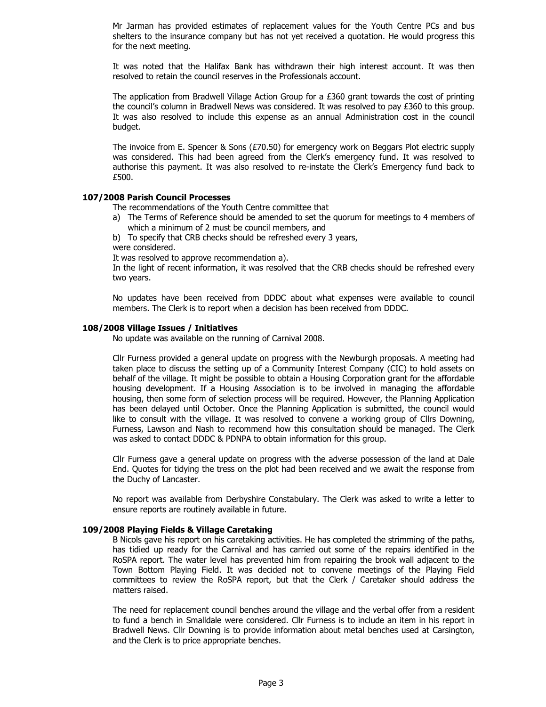Mr Jarman has provided estimates of replacement values for the Youth Centre PCs and bus shelters to the insurance company but has not yet received a quotation. He would progress this for the next meeting.

It was noted that the Halifax Bank has withdrawn their high interest account. It was then resolved to retain the council reserves in the Professionals account.

The application from Bradwell Village Action Group for a  $E360$  grant towards the cost of printing the council's column in Bradwell News was considered. It was resolved to pay £360 to this group. It was also resolved to include this expense as an annual Administration cost in the council budget.

The invoice from E. Spencer & Sons (£70.50) for emergency work on Beggars Plot electric supply was considered. This had been agreed from the Clerk's emergency fund. It was resolved to authorise this payment. It was also resolved to re-instate the Clerk's Emergency fund back to £500.

## 107/2008 Parish Council Processes

The recommendations of the Youth Centre committee that

- a) The Terms of Reference should be amended to set the quorum for meetings to 4 members of which a minimum of 2 must be council members, and
- b) To specify that CRB checks should be refreshed every 3 years,

were considered.

It was resolved to approve recommendation a).

In the light of recent information, it was resolved that the CRB checks should be refreshed every two years.

No updates have been received from DDDC about what expenses were available to council members. The Clerk is to report when a decision has been received from DDDC.

#### 108/2008 Village Issues / Initiatives

No update was available on the running of Carnival 2008.

Cllr Furness provided a general update on progress with the Newburgh proposals. A meeting had taken place to discuss the setting up of a Community Interest Company (CIC) to hold assets on behalf of the village. It might be possible to obtain a Housing Corporation grant for the affordable housing development. If a Housing Association is to be involved in managing the affordable housing, then some form of selection process will be required. However, the Planning Application has been delayed until October. Once the Planning Application is submitted, the council would like to consult with the village. It was resolved to convene a working group of Cllrs Downing, Furness, Lawson and Nash to recommend how this consultation should be managed. The Clerk was asked to contact DDDC & PDNPA to obtain information for this group.

Cllr Furness gave a general update on progress with the adverse possession of the land at Dale End. Quotes for tidying the tress on the plot had been received and we await the response from the Duchy of Lancaster.

No report was available from Derbyshire Constabulary. The Clerk was asked to write a letter to ensure reports are routinely available in future.

#### 109/2008 Playing Fields & Village Caretaking

B Nicols gave his report on his caretaking activities. He has completed the strimming of the paths, has tidied up ready for the Carnival and has carried out some of the repairs identified in the RoSPA report. The water level has prevented him from repairing the brook wall adjacent to the Town Bottom Playing Field. It was decided not to convene meetings of the Playing Field committees to review the RoSPA report, but that the Clerk / Caretaker should address the matters raised.

The need for replacement council benches around the village and the verbal offer from a resident to fund a bench in Smalldale were considered. Cllr Furness is to include an item in his report in Bradwell News. Cllr Downing is to provide information about metal benches used at Carsington, and the Clerk is to price appropriate benches.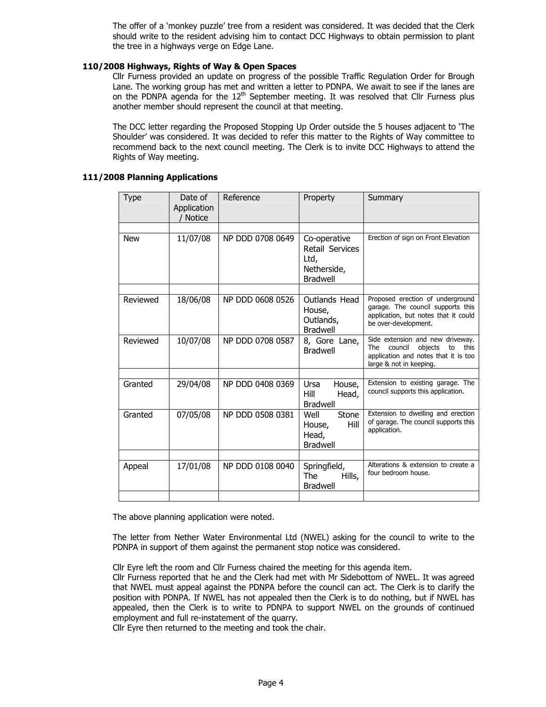The offer of a 'monkey puzzle' tree from a resident was considered. It was decided that the Clerk should write to the resident advising him to contact DCC Highways to obtain permission to plant the tree in a highways verge on Edge Lane.

## 110/2008 Highways, Rights of Way & Open Spaces

Cllr Furness provided an update on progress of the possible Traffic Regulation Order for Brough Lane. The working group has met and written a letter to PDNPA. We await to see if the lanes are on the PDNPA agenda for the  $12<sup>th</sup>$  September meeting. It was resolved that Cllr Furness plus another member should represent the council at that meeting.

The DCC letter regarding the Proposed Stopping Up Order outside the 5 houses adjacent to 'The Shoulder' was considered. It was decided to refer this matter to the Rights of Way committee to recommend back to the next council meeting. The Clerk is to invite DCC Highways to attend the Rights of Way meeting.

## 111/2008 Planning Applications

| <b>Type</b> | Date of<br>Application<br><b>Notice</b> | Reference        | Property                                                                  | Summary                                                                                                                                               |
|-------------|-----------------------------------------|------------------|---------------------------------------------------------------------------|-------------------------------------------------------------------------------------------------------------------------------------------------------|
|             |                                         |                  |                                                                           |                                                                                                                                                       |
| <b>New</b>  | 11/07/08                                | NP DDD 0708 0649 | Co-operative<br>Retail Services<br>Ltd,<br>Netherside,<br><b>Bradwell</b> | Erection of sign on Front Elevation                                                                                                                   |
|             |                                         |                  |                                                                           |                                                                                                                                                       |
| Reviewed    | 18/06/08                                | NP DDD 0608 0526 | Outlands Head<br>House,<br>Outlands,<br><b>Bradwell</b>                   | Proposed erection of underground<br>garage. The council supports this<br>application, but notes that it could<br>be over-development.                 |
| Reviewed    | 10/07/08                                | NP DDD 0708 0587 | 8, Gore Lane,<br><b>Bradwell</b>                                          | Side extension and new driveway.<br><b>The</b><br>council<br>objects<br>this<br>to<br>application and notes that it is too<br>large & not in keeping. |
|             |                                         |                  |                                                                           |                                                                                                                                                       |
| Granted     | 29/04/08                                | NP DDD 0408 0369 | Ursa<br>House,<br>Hill<br>Head,<br><b>Bradwell</b>                        | Extension to existing garage. The<br>council supports this application.                                                                               |
| Granted     | 07/05/08                                | NP DDD 0508 0381 | Stone<br>Well<br>Hill<br>House,<br>Head,<br><b>Bradwell</b>               | Extension to dwelling and erection<br>of garage. The council supports this<br>application.                                                            |
|             |                                         |                  |                                                                           |                                                                                                                                                       |
| Appeal      | 17/01/08                                | NP DDD 0108 0040 | Springfield,<br><b>The</b><br>Hills,<br><b>Bradwell</b>                   | Alterations & extension to create a<br>four bedroom house.                                                                                            |
|             |                                         |                  |                                                                           |                                                                                                                                                       |

The above planning application were noted.

The letter from Nether Water Environmental Ltd (NWEL) asking for the council to write to the PDNPA in support of them against the permanent stop notice was considered.

Cllr Eyre left the room and Cllr Furness chaired the meeting for this agenda item.

Cllr Furness reported that he and the Clerk had met with Mr Sidebottom of NWEL. It was agreed that NWEL must appeal against the PDNPA before the council can act. The Clerk is to clarify the position with PDNPA. If NWEL has not appealed then the Clerk is to do nothing, but if NWEL has appealed, then the Clerk is to write to PDNPA to support NWEL on the grounds of continued employment and full re-instatement of the quarry.

Cllr Eyre then returned to the meeting and took the chair.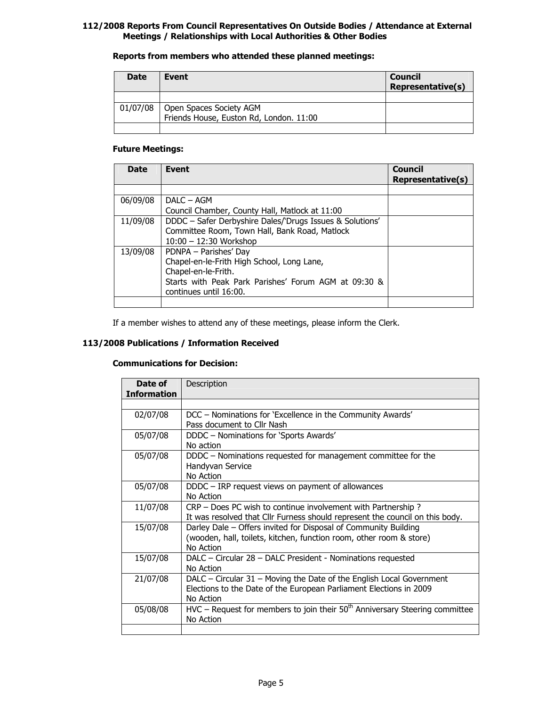## 112/2008 Reports From Council Representatives On Outside Bodies / Attendance at External Meetings / Relationships with Local Authorities & Other Bodies

## Reports from members who attended these planned meetings:

| <b>Date</b> | Event                                                              | <b>Council</b><br><b>Representative(s)</b> |
|-------------|--------------------------------------------------------------------|--------------------------------------------|
|             |                                                                    |                                            |
| 01/07/08    | Open Spaces Society AGM<br>Friends House, Euston Rd, London. 11:00 |                                            |
|             |                                                                    |                                            |

## Future Meetings:

| <b>Date</b> | <b>Event</b>                                             | <b>Council</b><br><b>Representative(s)</b> |
|-------------|----------------------------------------------------------|--------------------------------------------|
|             |                                                          |                                            |
| 06/09/08    | $DAIC - AGM$                                             |                                            |
|             | Council Chamber, County Hall, Matlock at 11:00           |                                            |
| 11/09/08    | DDDC - Safer Derbyshire Dales/'Drugs Issues & Solutions' |                                            |
|             | Committee Room, Town Hall, Bank Road, Matlock            |                                            |
|             | $10:00 - 12:30$ Workshop                                 |                                            |
| 13/09/08    | PDNPA - Parishes' Day                                    |                                            |
|             | Chapel-en-le-Frith High School, Long Lane,               |                                            |
|             | Chapel-en-le-Frith.                                      |                                            |
|             | Starts with Peak Park Parishes' Forum AGM at 09:30 &     |                                            |
|             | continues until 16:00.                                   |                                            |
|             |                                                          |                                            |

If a member wishes to attend any of these meetings, please inform the Clerk.

# 113/2008 Publications / Information Received

## Communications for Decision:

| Date of            | Description                                                                     |  |  |
|--------------------|---------------------------------------------------------------------------------|--|--|
| <b>Information</b> |                                                                                 |  |  |
|                    |                                                                                 |  |  |
| 02/07/08           | DCC - Nominations for 'Excellence in the Community Awards'                      |  |  |
|                    | Pass document to Cllr Nash                                                      |  |  |
| 05/07/08           | DDDC - Nominations for 'Sports Awards'                                          |  |  |
|                    | No action                                                                       |  |  |
| 05/07/08           | DDDC – Nominations requested for management committee for the                   |  |  |
|                    | Handyvan Service                                                                |  |  |
|                    | No Action                                                                       |  |  |
| 05/07/08           | DDDC - IRP request views on payment of allowances                               |  |  |
|                    | No Action                                                                       |  |  |
| 11/07/08           | CRP - Does PC wish to continue involvement with Partnership?                    |  |  |
|                    | It was resolved that Cllr Furness should represent the council on this body.    |  |  |
| 15/07/08           | Darley Dale - Offers invited for Disposal of Community Building                 |  |  |
|                    | (wooden, hall, toilets, kitchen, function room, other room & store)             |  |  |
|                    | No Action                                                                       |  |  |
| 15/07/08           | DALC - Circular 28 - DALC President - Nominations requested                     |  |  |
|                    | No Action                                                                       |  |  |
| 21/07/08           | DALC – Circular 31 – Moving the Date of the English Local Government            |  |  |
|                    | Elections to the Date of the European Parliament Elections in 2009              |  |  |
|                    | No Action                                                                       |  |  |
| 05/08/08           | $HVC$ – Request for members to join their $50th$ Anniversary Steering committee |  |  |
|                    | No Action                                                                       |  |  |
|                    |                                                                                 |  |  |